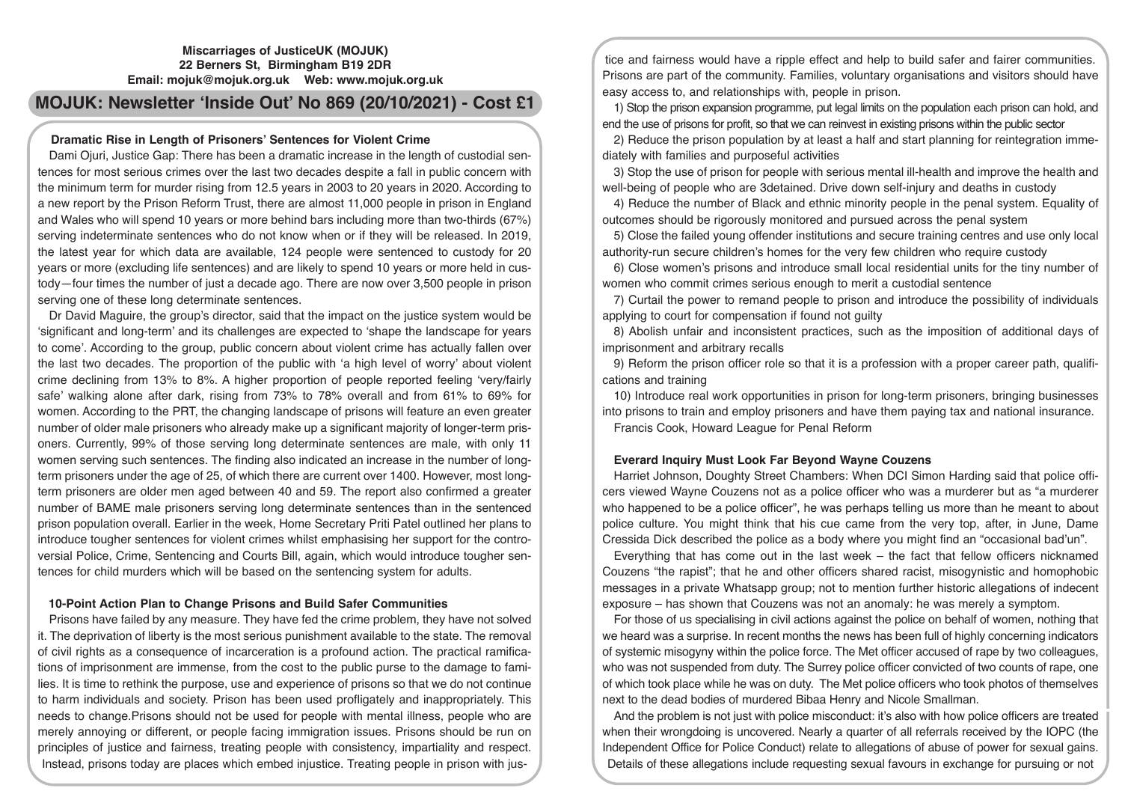# **Miscarriages of JusticeUK (MOJUK) 22 Berners St, Birmingham B19 2DR Email: mojuk@mojuk.org.uk Web: www.mojuk.org.uk**

# **MOJUK: Newsletter 'Inside Out' No 869 (20/10/2021) - Cost £1**

# **Dramatic Rise in Length of Prisoners' Sentences for Violent Crime**

Dami Ojuri, Justice Gap: There has been a dramatic increase in the length of custodial sentences for most serious crimes over the last two decades despite a fall in public concern with the minimum term for murder rising from 12.5 years in 2003 to 20 years in 2020. According to a new report by the Prison Reform Trust, there are almost 11,000 people in prison in England and Wales who will spend 10 years or more behind bars including more than two-thirds (67%) serving indeterminate sentences who do not know when or if they will be released. In 2019, the latest year for which data are available, 124 people were sentenced to custody for 20 years or more (excluding life sentences) and are likely to spend 10 years or more held in custody—four times the number of just a decade ago. There are now over 3,500 people in prison serving one of these long determinate sentences.

Dr David Maguire, the group's director, said that the impact on the justice system would be 'significant and long-term' and its challenges are expected to 'shape the landscape for years to come'. According to the group, public concern about violent crime has actually fallen over the last two decades. The proportion of the public with 'a high level of worry' about violent crime declining from 13% to 8%. A higher proportion of people reported feeling 'very/fairly safe' walking alone after dark, rising from 73% to 78% overall and from 61% to 69% for women. According to the PRT, the changing landscape of prisons will feature an even greater number of older male prisoners who already make up a significant majority of longer-term prisoners. Currently, 99% of those serving long determinate sentences are male, with only 11 women serving such sentences. The finding also indicated an increase in the number of longterm prisoners under the age of 25, of which there are current over 1400. However, most longterm prisoners are older men aged between 40 and 59. The report also confirmed a greater number of BAME male prisoners serving long determinate sentences than in the sentenced prison population overall. Earlier in the week, Home Secretary Priti Patel outlined her plans to introduce tougher sentences for violent crimes whilst emphasising her support for the controversial Police, Crime, Sentencing and Courts Bill, again, which would introduce tougher sentences for child murders which will be based on the sentencing system for adults.

# **10-Point Action Plan to Change Prisons and Build Safer Communities**

Prisons have failed by any measure. They have fed the crime problem, they have not solved it. The deprivation of liberty is the most serious punishment available to the state. The removal of civil rights as a consequence of incarceration is a profound action. The practical ramifications of imprisonment are immense, from the cost to the public purse to the damage to families. It is time to rethink the purpose, use and experience of prisons so that we do not continue to harm individuals and society. Prison has been used profligately and inappropriately. This needs to change.Prisons should not be used for people with mental illness, people who are merely annoying or different, or people facing immigration issues. Prisons should be run on principles of justice and fairness, treating people with consistency, impartiality and respect. Instead, prisons today are places which embed injustice. Treating people in prison with jus-

tice and fairness would have a ripple effect and help to build safer and fairer communities. Prisons are part of the community. Families, voluntary organisations and visitors should have easy access to, and relationships with, people in prison.

1) Stop the prison expansion programme, put legal limits on the population each prison can hold, and end the use of prisons for profit, so that we can reinvest in existing prisons within the public sector

2) Reduce the prison population by at least a half and start planning for reintegration immediately with families and purposeful activities

3) Stop the use of prison for people with serious mental ill-health and improve the health and well-being of people who are 3detained. Drive down self-injury and deaths in custody

4) Reduce the number of Black and ethnic minority people in the penal system. Equality of outcomes should be rigorously monitored and pursued across the penal system

5) Close the failed young offender institutions and secure training centres and use only local authority-run secure children's homes for the very few children who require custody

6) Close women's prisons and introduce small local residential units for the tiny number of women who commit crimes serious enough to merit a custodial sentence

7) Curtail the power to remand people to prison and introduce the possibility of individuals applying to court for compensation if found not guilty

8) Abolish unfair and inconsistent practices, such as the imposition of additional days of imprisonment and arbitrary recalls

9) Reform the prison officer role so that it is a profession with a proper career path, qualifications and training

10) Introduce real work opportunities in prison for long-term prisoners, bringing businesses into prisons to train and employ prisoners and have them paying tax and national insurance. Francis Cook, Howard League for Penal Reform

# **Everard Inquiry Must Look Far Beyond Wayne Couzens**

Harriet Johnson, Doughty Street Chambers: When DCI Simon Harding said that police officers viewed Wayne Couzens not as a police officer who was a murderer but as "a murderer who happened to be a police officer", he was perhaps telling us more than he meant to about police culture. You might think that his cue came from the very top, after, in June, Dame Cressida Dick described the police as a body where you might find an "occasional bad'un".

Everything that has come out in the last week – the fact that fellow officers nicknamed Couzens "the rapist"; that he and other officers shared racist, misogynistic and homophobic messages in a private Whatsapp group; not to mention further historic allegations of indecent exposure – has shown that Couzens was not an anomaly: he was merely a symptom.

For those of us specialising in civil actions against the police on behalf of women, nothing that we heard was a surprise. In recent months the news has been full of highly concerning indicators of systemic misogyny within the police force. The Met officer accused of rape by two colleagues, who was not suspended from duty. The Surrey police officer convicted of two counts of rape, one of which took place while he was on duty. The Met police officers who took photos of themselves next to the dead bodies of murdered Bibaa Henry and Nicole Smallman.

And the problem is not just with police misconduct: it's also with how police officers are treated when their wrongdoing is uncovered. Nearly a quarter of all referrals received by the IOPC (the Independent Office for Police Conduct) relate to allegations of abuse of power for sexual gains. Details of these allegations include requesting sexual favours in exchange for pursuing or not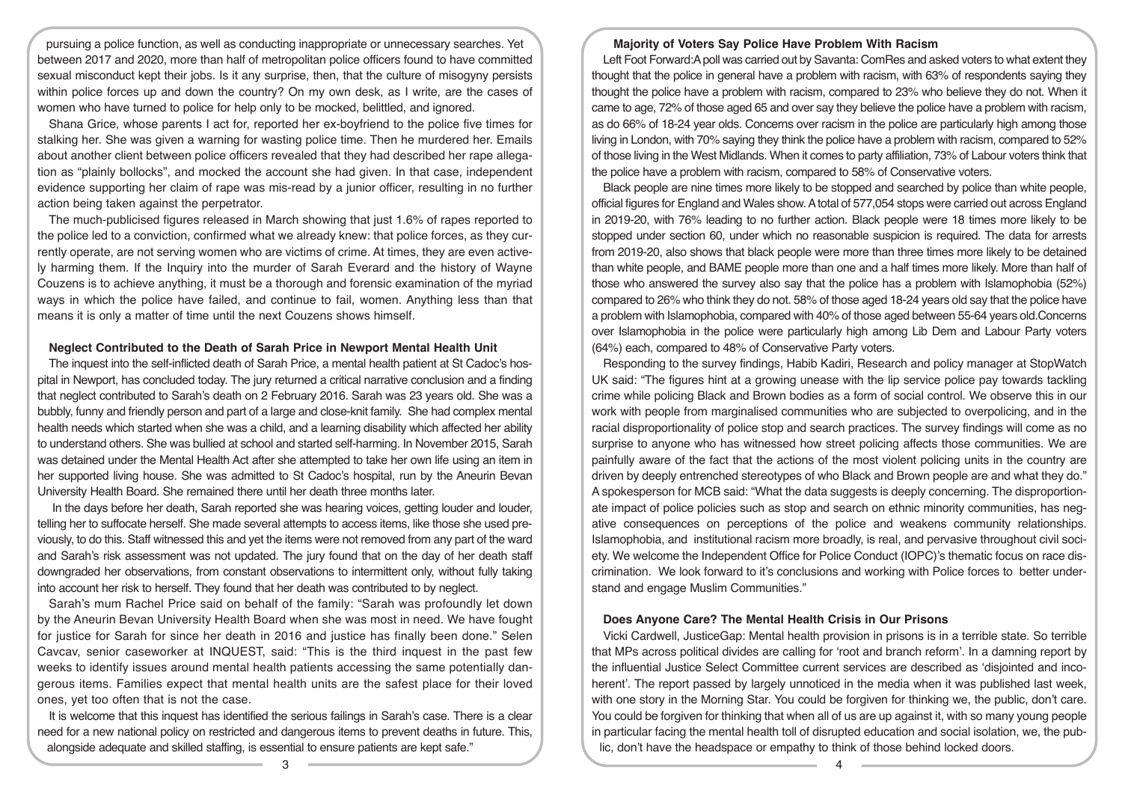pursuing a police function, as well as conducting inappropriate or unnecessary searches. Yet between 2017 and 2020, more than half of metropolitan police officers found to have committed sexual misconduct kept their jobs. Is it any surprise, then, that the culture of misogyny persists within police forces up and down the country? On my own desk, as I write, are the cases of women who have turned to police for help only to be mocked, belittled, and ignored.

Shana Grice, whose parents I act for, reported her ex-boyfriend to the police five times for stalking her. She was given a warning for wasting police time. Then he murdered her. Emails about another client between police officers revealed that they had described her rape allegation as "plainly bollocks", and mocked the account she had given. In that case, independent evidence supporting her claim of rape was mis-read by a junior officer, resulting in no further action being taken against the perpetrator.

The much-publicised figures released in March showing that just 1.6% of rapes reported to the police led to a conviction, confirmed what we already knew: that police forces, as they currently operate, are not serving women who are victims of crime. At times, they are even actively harming them. If the Inquiry into the murder of Sarah Everard and the history of Wayne Couzens is to achieve anything, it must be a thorough and forensic examination of the myriad ways in which the police have failed, and continue to fail, women. Anything less than that means it is only a matter of time until the next Couzens shows himself.

## **Neglect Contributed to the Death of Sarah Price in Newport Mental Health Unit**

The inquest into the self-inflicted death of Sarah Price, a mental health patient at St Cadoc's hospital in Newport, has concluded today. The jury returned a critical narrative conclusion and a finding that neglect contributed to Sarah's death on 2 February 2016. Sarah was 23 years old. She was a bubbly, funny and friendly person and part of a large and close-knit family. She had complex mental health needs which started when she was a child, and a learning disability which affected her ability to understand others. She was bullied at school and started self-harming. In November 2015, Sarah was detained under the Mental Health Act after she attempted to take her own life using an item in her supported living house. She was admitted to St Cadoc's hospital, run by the Aneurin Bevan University Health Board. She remained there until her death three months later.

 In the days before her death, Sarah reported she was hearing voices, getting louder and louder, telling her to suffocate herself. She made several attempts to access items, like those she used previously, to do this. Staff witnessed this and yet the items were not removed from any part of the ward and Sarah's risk assessment was not updated. The jury found that on the day of her death staff downgraded her observations, from constant observations to intermittent only, without fully taking into account her risk to herself. They found that her death was contributed to by neglect.

Sarah's mum Rachel Price said on behalf of the family: "Sarah was profoundly let down by the Aneurin Bevan University Health Board when she was most in need. We have fought for justice for Sarah for since her death in 2016 and justice has finally been done." Selen Cavcav, senior caseworker at INQUEST, said: "This is the third inquest in the past few weeks to identify issues around mental health patients accessing the same potentially dangerous items. Families expect that mental health units are the safest place for their loved ones, yet too often that is not the case.

It is welcome that this inquest has identified the serious failings in Sarah's case. There is a clear need for a new national policy on restricted and dangerous items to prevent deaths in future. This, alongside adequate and skilled staffing, is essential to ensure patients are kept safe."

## **Majority of Voters Say Police Have Problem With Racism**

Left Foot Forward:A poll was carried out by Savanta: ComRes and asked voters to what extent they thought that the police in general have a problem with racism, with 63% of respondents saying they thought the police have a problem with racism, compared to 23% who believe they do not. When it came to age, 72% of those aged 65 and over say they believe the police have a problem with racism, as do 66% of 18-24 year olds. Concerns over racism in the police are particularly high among those living in London, with 70% saying they think the police have a problem with racism, compared to 52% of those living in the West Midlands. When it comes to party affiliation, 73% of Labour voters think that the police have a problem with racism, compared to 58% of Conservative voters.

Black people are nine times more likely to be stopped and searched by police than white people, official figures for England and Wales show. A total of 577,054 stops were carried out across England in 2019-20, with 76% leading to no further action. Black people were 18 times more likely to be stopped under section 60, under which no reasonable suspicion is required. The data for arrests from 2019-20, also shows that black people were more than three times more likely to be detained than white people, and BAME people more than one and a half times more likely. More than half of those who answered the survey also say that the police has a problem with Islamophobia (52%) compared to 26% who think they do not. 58% of those aged 18-24 years old say that the police have a problem with Islamophobia, compared with 40% of those aged between 55-64 years old.Concerns over Islamophobia in the police were particularly high among Lib Dem and Labour Party voters (64%) each, compared to 48% of Conservative Party voters.

Responding to the survey findings, Habib Kadiri, Research and policy manager at StopWatch UK said: "The figures hint at a growing unease with the lip service police pay towards tackling crime while policing Black and Brown bodies as a form of social control. We observe this in our work with people from marginalised communities who are subjected to overpolicing, and in the racial disproportionality of police stop and search practices. The survey findings will come as no surprise to anyone who has witnessed how street policing affects those communities. We are painfully aware of the fact that the actions of the most violent policing units in the country are driven by deeply entrenched stereotypes of who Black and Brown people are and what they do." A spokesperson for MCB said: "What the data suggests is deeply concerning. The disproportionate impact of police policies such as stop and search on ethnic minority communities, has negative consequences on perceptions of the police and weakens community relationships. Islamophobia, and institutional racism more broadly, is real, and pervasive throughout civil society. We welcome the Independent Office for Police Conduct (IOPC)'s thematic focus on race discrimination. We look forward to it's conclusions and working with Police forces to better understand and engage Muslim Communities."

#### **Does Anyone Care? The Mental Health Crisis in Our Prisons**

Vicki Cardwell, JusticeGap: Mental health provision in prisons is in a terrible state. So terrible that MPs across political divides are calling for 'root and branch reform'. In a damning report by the influential Justice Select Committee current services are described as 'disjointed and incoherent'. The report passed by largely unnoticed in the media when it was published last week, with one story in the Morning Star. You could be forgiven for thinking we, the public, don't care. You could be forgiven for thinking that when all of us are up against it, with so many young people in particular facing the mental health toll of disrupted education and social isolation, we, the public, don't have the headspace or empathy to think of those behind locked doors.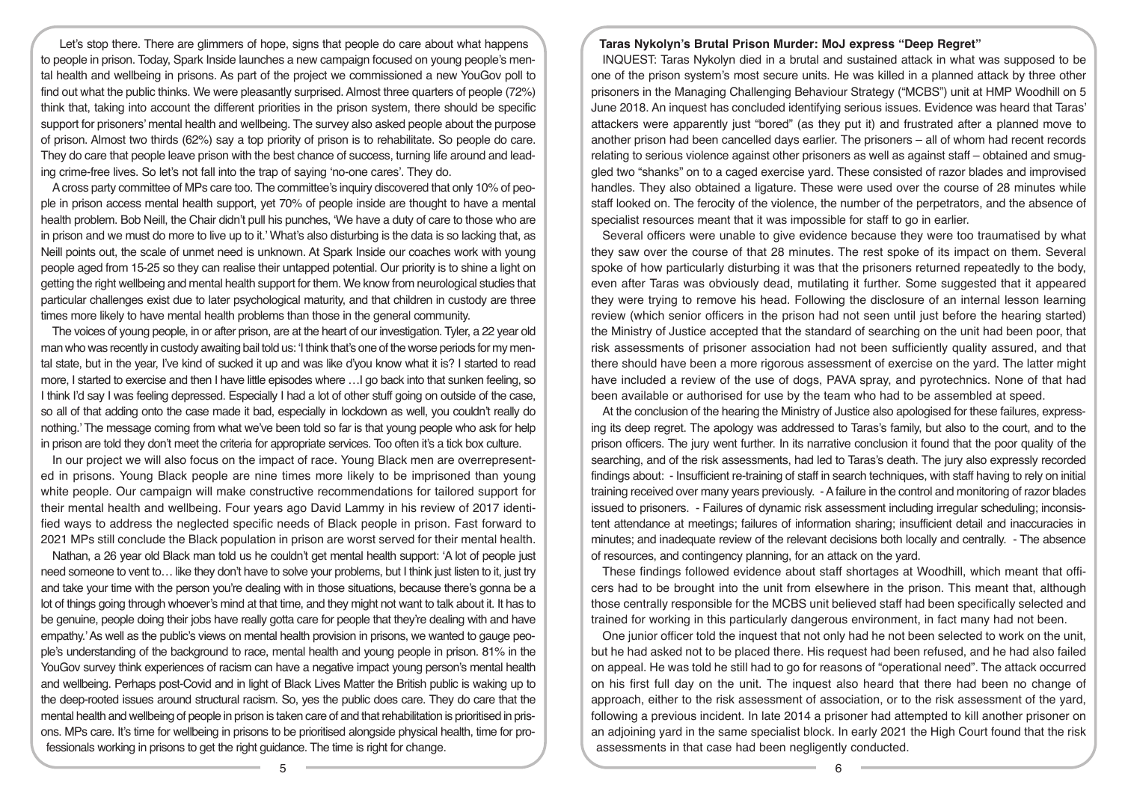Let's stop there. There are glimmers of hope, signs that people do care about what happens to people in prison. Today, Spark Inside launches a new campaign focused on young people's mental health and wellbeing in prisons. As part of the project we commissioned a new YouGov poll to find out what the public thinks. We were pleasantly surprised. Almost three quarters of people (72%) think that, taking into account the different priorities in the prison system, there should be specific support for prisoners' mental health and wellbeing. The survey also asked people about the purpose of prison. Almost two thirds (62%) say a top priority of prison is to rehabilitate. So people do care. They do care that people leave prison with the best chance of success, turning life around and leading crime-free lives. So let's not fall into the trap of saying 'no-one cares'. They do.

A cross party committee of MPs care too. The committee's inquiry discovered that only 10% of people in prison access mental health support, yet 70% of people inside are thought to have a mental health problem. Bob Neill, the Chair didn't pull his punches, 'We have a duty of care to those who are in prison and we must do more to live up to it.' What's also disturbing is the data is so lacking that, as Neill points out, the scale of unmet need is unknown. At Spark Inside our coaches work with young people aged from 15-25 so they can realise their untapped potential. Our priority is to shine a light on getting the right wellbeing and mental health support for them. We know from neurological studies that particular challenges exist due to later psychological maturity, and that children in custody are three times more likely to have mental health problems than those in the general community.

The voices of young people, in or after prison, are at the heart of our investigation. Tyler, a 22 year old man who was recently in custody awaiting bail told us: 'I think that's one of the worse periods for my mental state, but in the year, I've kind of sucked it up and was like d'you know what it is? I started to read more, I started to exercise and then I have little episodes where …I go back into that sunken feeling, so I think I'd say I was feeling depressed. Especially I had a lot of other stuff going on outside of the case, so all of that adding onto the case made it bad, especially in lockdown as well, you couldn't really do nothing.' The message coming from what we've been told so far is that young people who ask for help in prison are told they don't meet the criteria for appropriate services. Too often it's a tick box culture.

In our project we will also focus on the impact of race. Young Black men are overrepresented in prisons. Young Black people are nine times more likely to be imprisoned than young white people. Our campaign will make constructive recommendations for tailored support for their mental health and wellbeing. Four years ago David Lammy in his review of 2017 identified ways to address the neglected specific needs of Black people in prison. Fast forward to 2021 MPs still conclude the Black population in prison are worst served for their mental health.

Nathan, a 26 year old Black man told us he couldn't get mental health support: 'A lot of people just need someone to vent to… like they don't have to solve your problems, but I think just listen to it, just try and take your time with the person you're dealing with in those situations, because there's gonna be a lot of things going through whoever's mind at that time, and they might not want to talk about it. It has to be genuine, people doing their jobs have really gotta care for people that they're dealing with and have empathy.' As well as the public's views on mental health provision in prisons, we wanted to gauge people's understanding of the background to race, mental health and young people in prison. 81% in the YouGov survey think experiences of racism can have a negative impact young person's mental health and wellbeing. Perhaps post-Covid and in light of Black Lives Matter the British public is waking up to the deep-rooted issues around structural racism. So, yes the public does care. They do care that the mental health and wellbeing of people in prison is taken care of and that rehabilitation is prioritised in prisons. MPs care. It's time for wellbeing in prisons to be prioritised alongside physical health, time for professionals working in prisons to get the right guidance. The time is right for change.

## **Taras Nykolyn's Brutal Prison Murder: MoJ express "Deep Regret"**

INQUEST: Taras Nykolyn died in a brutal and sustained attack in what was supposed to be one of the prison system's most secure units. He was killed in a planned attack by three other prisoners in the Managing Challenging Behaviour Strategy ("MCBS") unit at HMP Woodhill on 5 June 2018. An inquest has concluded identifying serious issues. Evidence was heard that Taras' attackers were apparently just "bored" (as they put it) and frustrated after a planned move to another prison had been cancelled days earlier. The prisoners – all of whom had recent records relating to serious violence against other prisoners as well as against staff – obtained and smuggled two "shanks" on to a caged exercise yard. These consisted of razor blades and improvised handles. They also obtained a ligature. These were used over the course of 28 minutes while staff looked on. The ferocity of the violence, the number of the perpetrators, and the absence of specialist resources meant that it was impossible for staff to go in earlier.

Several officers were unable to give evidence because they were too traumatised by what they saw over the course of that 28 minutes. The rest spoke of its impact on them. Several spoke of how particularly disturbing it was that the prisoners returned repeatedly to the body, even after Taras was obviously dead, mutilating it further. Some suggested that it appeared they were trying to remove his head. Following the disclosure of an internal lesson learning review (which senior officers in the prison had not seen until just before the hearing started) the Ministry of Justice accepted that the standard of searching on the unit had been poor, that risk assessments of prisoner association had not been sufficiently quality assured, and that there should have been a more rigorous assessment of exercise on the yard. The latter might have included a review of the use of dogs, PAVA spray, and pyrotechnics. None of that had been available or authorised for use by the team who had to be assembled at speed.

At the conclusion of the hearing the Ministry of Justice also apologised for these failures, expressing its deep regret. The apology was addressed to Taras's family, but also to the court, and to the prison officers. The jury went further. In its narrative conclusion it found that the poor quality of the searching, and of the risk assessments, had led to Taras's death. The jury also expressly recorded findings about: - Insufficient re-training of staff in search techniques, with staff having to rely on initial training received over many years previously. - A failure in the control and monitoring of razor blades issued to prisoners. - Failures of dynamic risk assessment including irregular scheduling; inconsistent attendance at meetings; failures of information sharing; insufficient detail and inaccuracies in minutes; and inadequate review of the relevant decisions both locally and centrally. - The absence of resources, and contingency planning, for an attack on the yard.

These findings followed evidence about staff shortages at Woodhill, which meant that officers had to be brought into the unit from elsewhere in the prison. This meant that, although those centrally responsible for the MCBS unit believed staff had been specifically selected and trained for working in this particularly dangerous environment, in fact many had not been.

One junior officer told the inquest that not only had he not been selected to work on the unit, but he had asked not to be placed there. His request had been refused, and he had also failed on appeal. He was told he still had to go for reasons of "operational need". The attack occurred on his first full day on the unit. The inquest also heard that there had been no change of approach, either to the risk assessment of association, or to the risk assessment of the yard, following a previous incident. In late 2014 a prisoner had attempted to kill another prisoner on an adjoining yard in the same specialist block. In early 2021 the High Court found that the risk assessments in that case had been negligently conducted.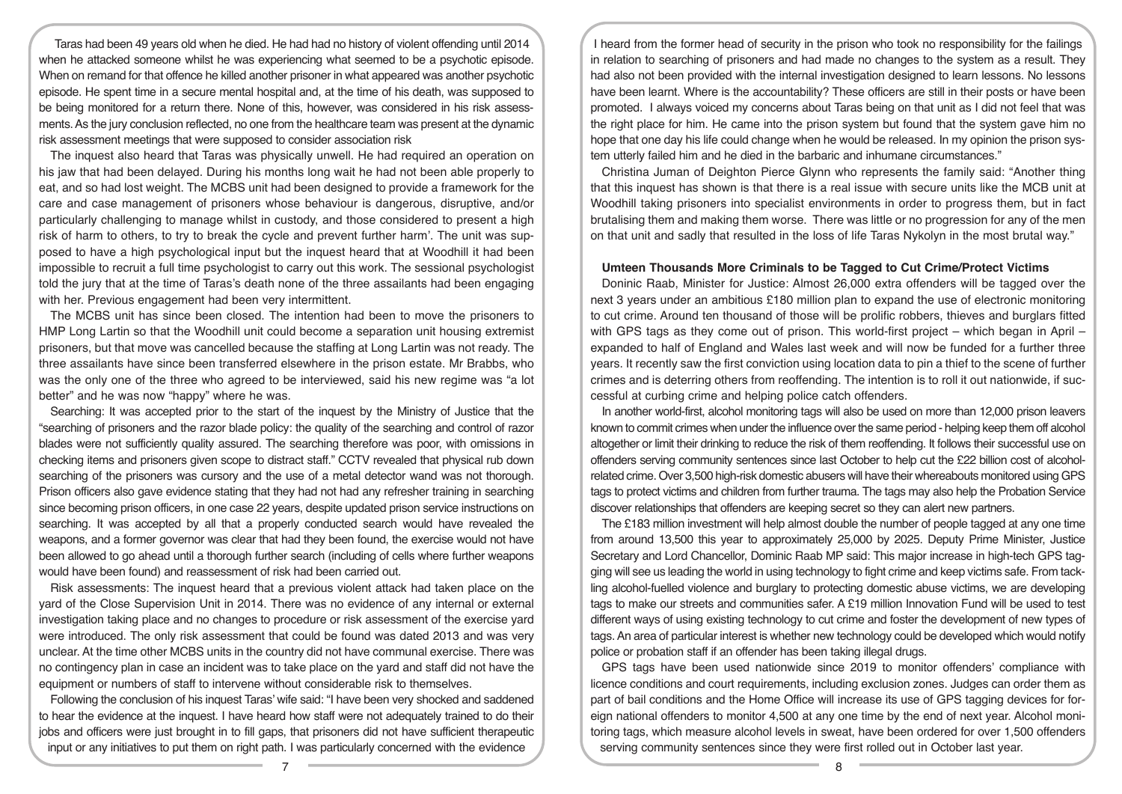Taras had been 49 years old when he died. He had had no history of violent offending until 2014 when he attacked someone whilst he was experiencing what seemed to be a psychotic episode. When on remand for that offence he killed another prisoner in what appeared was another psychotic episode. He spent time in a secure mental hospital and, at the time of his death, was supposed to be being monitored for a return there. None of this, however, was considered in his risk assessments. As the jury conclusion reflected, no one from the healthcare team was present at the dynamic risk assessment meetings that were supposed to consider association risk

The inquest also heard that Taras was physically unwell. He had required an operation on his jaw that had been delayed. During his months long wait he had not been able properly to eat, and so had lost weight. The MCBS unit had been designed to provide a framework for the care and case management of prisoners whose behaviour is dangerous, disruptive, and/or particularly challenging to manage whilst in custody, and those considered to present a high risk of harm to others, to try to break the cycle and prevent further harm'. The unit was supposed to have a high psychological input but the inquest heard that at Woodhill it had been impossible to recruit a full time psychologist to carry out this work. The sessional psychologist told the jury that at the time of Taras's death none of the three assailants had been engaging with her. Previous engagement had been very intermittent.

The MCBS unit has since been closed. The intention had been to move the prisoners to HMP Long Lartin so that the Woodhill unit could become a separation unit housing extremist prisoners, but that move was cancelled because the staffing at Long Lartin was not ready. The three assailants have since been transferred elsewhere in the prison estate. Mr Brabbs, who was the only one of the three who agreed to be interviewed, said his new regime was "a lot better" and he was now "happy" where he was.

Searching: It was accepted prior to the start of the inquest by the Ministry of Justice that the "searching of prisoners and the razor blade policy: the quality of the searching and control of razor blades were not sufficiently quality assured. The searching therefore was poor, with omissions in checking items and prisoners given scope to distract staff." CCTV revealed that physical rub down searching of the prisoners was cursory and the use of a metal detector wand was not thorough. Prison officers also gave evidence stating that they had not had any refresher training in searching since becoming prison officers, in one case 22 years, despite updated prison service instructions on searching. It was accepted by all that a properly conducted search would have revealed the weapons, and a former governor was clear that had they been found, the exercise would not have been allowed to go ahead until a thorough further search (including of cells where further weapons would have been found) and reassessment of risk had been carried out.

Risk assessments: The inquest heard that a previous violent attack had taken place on the yard of the Close Supervision Unit in 2014. There was no evidence of any internal or external investigation taking place and no changes to procedure or risk assessment of the exercise yard were introduced. The only risk assessment that could be found was dated 2013 and was very unclear. At the time other MCBS units in the country did not have communal exercise. There was no contingency plan in case an incident was to take place on the yard and staff did not have the equipment or numbers of staff to intervene without considerable risk to themselves.

Following the conclusion of his inquest Taras' wife said: "I have been very shocked and saddened to hear the evidence at the inquest. I have heard how staff were not adequately trained to do their jobs and officers were just brought in to fill gaps, that prisoners did not have sufficient therapeutic input or any initiatives to put them on right path. I was particularly concerned with the evidence

I heard from the former head of security in the prison who took no responsibility for the failings in relation to searching of prisoners and had made no changes to the system as a result. They had also not been provided with the internal investigation designed to learn lessons. No lessons have been learnt. Where is the accountability? These officers are still in their posts or have been promoted. I always voiced my concerns about Taras being on that unit as I did not feel that was the right place for him. He came into the prison system but found that the system gave him no hope that one day his life could change when he would be released. In my opinion the prison system utterly failed him and he died in the barbaric and inhumane circumstances."

Christina Juman of Deighton Pierce Glynn who represents the family said: "Another thing that this inquest has shown is that there is a real issue with secure units like the MCB unit at Woodhill taking prisoners into specialist environments in order to progress them, but in fact brutalising them and making them worse. There was little or no progression for any of the men on that unit and sadly that resulted in the loss of life Taras Nykolyn in the most brutal way."

#### **Umteen Thousands More Criminals to be Tagged to Cut Crime/Protect Victims**

Doninic Raab, Minister for Justice: Almost 26,000 extra offenders will be tagged over the next 3 years under an ambitious £180 million plan to expand the use of electronic monitoring to cut crime. Around ten thousand of those will be prolific robbers, thieves and burglars fitted with GPS tags as they come out of prison. This world-first project – which began in April – expanded to half of England and Wales last week and will now be funded for a further three years. It recently saw the first conviction using location data to pin a thief to the scene of further crimes and is deterring others from reoffending. The intention is to roll it out nationwide, if successful at curbing crime and helping police catch offenders.

In another world-first, alcohol monitoring tags will also be used on more than 12,000 prison leavers known to commit crimes when under the influence over the same period - helping keep them off alcohol altogether or limit their drinking to reduce the risk of them reoffending. It follows their successful use on offenders serving community sentences since last October to help cut the £22 billion cost of alcoholrelated crime. Over 3,500 high-risk domestic abusers will have their whereabouts monitored using GPS tags to protect victims and children from further trauma. The tags may also help the Probation Service discover relationships that offenders are keeping secret so they can alert new partners.

The £183 million investment will help almost double the number of people tagged at any one time from around 13,500 this year to approximately 25,000 by 2025. Deputy Prime Minister, Justice Secretary and Lord Chancellor, Dominic Raab MP said: This major increase in high-tech GPS tagging will see us leading the world in using technology to fight crime and keep victims safe. From tackling alcohol-fuelled violence and burglary to protecting domestic abuse victims, we are developing tags to make our streets and communities safer. A £19 million Innovation Fund will be used to test different ways of using existing technology to cut crime and foster the development of new types of tags. An area of particular interest is whether new technology could be developed which would notify police or probation staff if an offender has been taking illegal drugs.

GPS tags have been used nationwide since 2019 to monitor offenders' compliance with licence conditions and court requirements, including exclusion zones. Judges can order them as part of bail conditions and the Home Office will increase its use of GPS tagging devices for foreign national offenders to monitor 4,500 at any one time by the end of next year. Alcohol monitoring tags, which measure alcohol levels in sweat, have been ordered for over 1,500 offenders serving community sentences since they were first rolled out in October last year.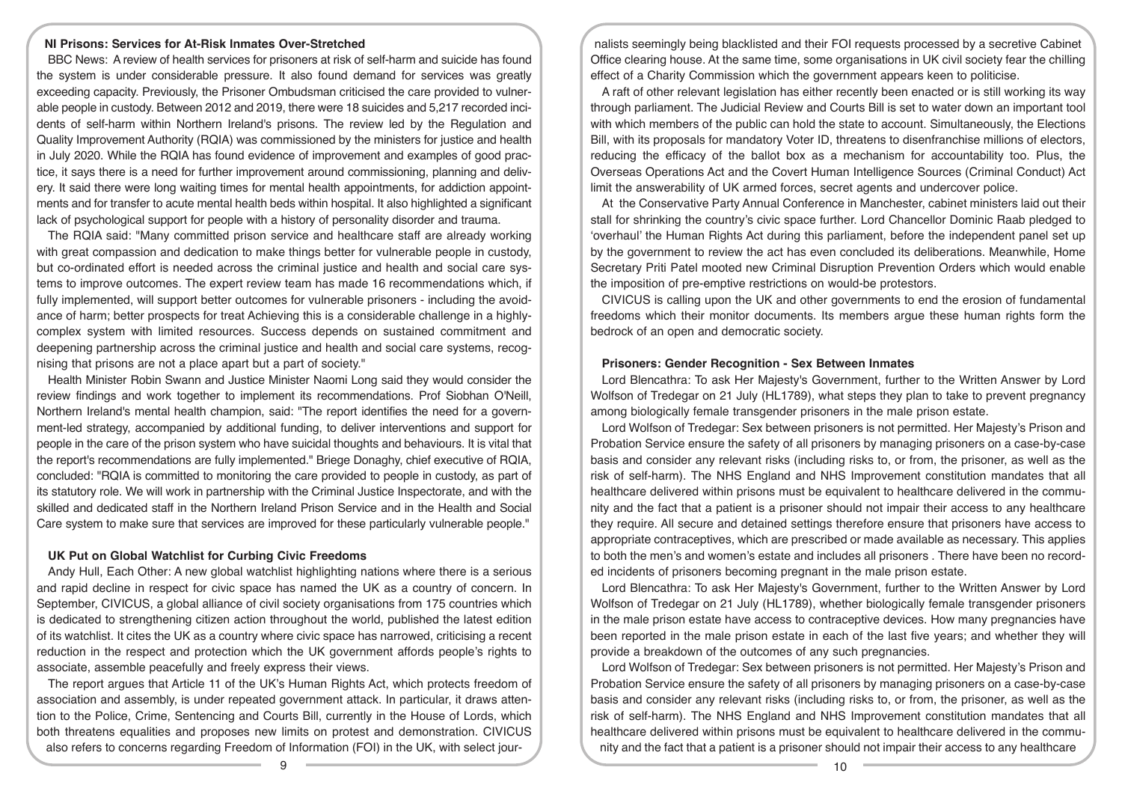## **NI Prisons: Services for At-Risk Inmates Over-Stretched**

BBC News: A review of health services for prisoners at risk of self-harm and suicide has found the system is under considerable pressure. It also found demand for services was greatly exceeding capacity. Previously, the Prisoner Ombudsman criticised the care provided to vulnerable people in custody. Between 2012 and 2019, there were 18 suicides and 5,217 recorded incidents of self-harm within Northern Ireland's prisons. The review led by the Regulation and Quality Improvement Authority (RQIA) was commissioned by the ministers for justice and health in July 2020. While the RQIA has found evidence of improvement and examples of good practice, it says there is a need for further improvement around commissioning, planning and delivery. It said there were long waiting times for mental health appointments, for addiction appointments and for transfer to acute mental health beds within hospital. It also highlighted a significant lack of psychological support for people with a history of personality disorder and trauma.

The RQIA said: "Many committed prison service and healthcare staff are already working with great compassion and dedication to make things better for vulnerable people in custody, but co-ordinated effort is needed across the criminal justice and health and social care systems to improve outcomes. The expert review team has made 16 recommendations which, if fully implemented, will support better outcomes for vulnerable prisoners - including the avoidance of harm; better prospects for treat Achieving this is a considerable challenge in a highlycomplex system with limited resources. Success depends on sustained commitment and deepening partnership across the criminal justice and health and social care systems, recognising that prisons are not a place apart but a part of society."

Health Minister Robin Swann and Justice Minister Naomi Long said they would consider the review findings and work together to implement its recommendations. Prof Siobhan O'Neill, Northern Ireland's mental health champion, said: "The report identifies the need for a government-led strategy, accompanied by additional funding, to deliver interventions and support for people in the care of the prison system who have suicidal thoughts and behaviours. It is vital that the report's recommendations are fully implemented." Briege Donaghy, chief executive of RQIA, concluded: "RQIA is committed to monitoring the care provided to people in custody, as part of its statutory role. We will work in partnership with the Criminal Justice Inspectorate, and with the skilled and dedicated staff in the Northern Ireland Prison Service and in the Health and Social Care system to make sure that services are improved for these particularly vulnerable people."

#### **UK Put on Global Watchlist for Curbing Civic Freedoms**

Andy Hull, Each Other: A new global watchlist highlighting nations where there is a serious and rapid decline in respect for civic space has named the UK as a country of concern. In September, CIVICUS, a global alliance of civil society organisations from 175 countries which is dedicated to strengthening citizen action throughout the world, published the latest edition of its watchlist. It cites the UK as a country where civic space has narrowed, criticising a recent reduction in the respect and protection which the UK government affords people's rights to associate, assemble peacefully and freely express their views.

The report argues that Article 11 of the UK's Human Rights Act, which protects freedom of association and assembly, is under repeated government attack. In particular, it draws attention to the Police, Crime, Sentencing and Courts Bill, currently in the House of Lords, which both threatens equalities and proposes new limits on protest and demonstration. CIVICUS also refers to concerns regarding Freedom of Information (FOI) in the UK, with select jour-

nalists seemingly being blacklisted and their FOI requests processed by a secretive Cabinet Office clearing house. At the same time, some organisations in UK civil society fear the chilling effect of a Charity Commission which the government appears keen to politicise.

A raft of other relevant legislation has either recently been enacted or is still working its way through parliament. The Judicial Review and Courts Bill is set to water down an important tool with which members of the public can hold the state to account. Simultaneously, the Elections Bill, with its proposals for mandatory Voter ID, threatens to disenfranchise millions of electors, reducing the efficacy of the ballot box as a mechanism for accountability too. Plus, the Overseas Operations Act and the Covert Human Intelligence Sources (Criminal Conduct) Act limit the answerability of UK armed forces, secret agents and undercover police.

At the Conservative Party Annual Conference in Manchester, cabinet ministers laid out their stall for shrinking the country's civic space further. Lord Chancellor Dominic Raab pledged to 'overhaul' the Human Rights Act during this parliament, before the independent panel set up by the government to review the act has even concluded its deliberations. Meanwhile, Home Secretary Priti Patel mooted new Criminal Disruption Prevention Orders which would enable the imposition of pre-emptive restrictions on would-be protestors.

CIVICUS is calling upon the UK and other governments to end the erosion of fundamental freedoms which their monitor documents. Its members argue these human rights form the bedrock of an open and democratic society.

### **Prisoners: Gender Recognition - Sex Between Inmates**

Lord Blencathra: To ask Her Majesty's Government, further to the Written Answer by Lord Wolfson of Tredegar on 21 July (HL1789), what steps they plan to take to prevent pregnancy among biologically female transgender prisoners in the male prison estate.

Lord Wolfson of Tredegar: Sex between prisoners is not permitted. Her Majesty's Prison and Probation Service ensure the safety of all prisoners by managing prisoners on a case-by-case basis and consider any relevant risks (including risks to, or from, the prisoner, as well as the risk of self-harm). The NHS England and NHS Improvement constitution mandates that all healthcare delivered within prisons must be equivalent to healthcare delivered in the community and the fact that a patient is a prisoner should not impair their access to any healthcare they require. All secure and detained settings therefore ensure that prisoners have access to appropriate contraceptives, which are prescribed or made available as necessary. This applies to both the men's and women's estate and includes all prisoners . There have been no recorded incidents of prisoners becoming pregnant in the male prison estate.

Lord Blencathra: To ask Her Majesty's Government, further to the Written Answer by Lord Wolfson of Tredegar on 21 July (HL1789), whether biologically female transgender prisoners in the male prison estate have access to contraceptive devices. How many pregnancies have been reported in the male prison estate in each of the last five years; and whether they will provide a breakdown of the outcomes of any such pregnancies.

Lord Wolfson of Tredegar: Sex between prisoners is not permitted. Her Majesty's Prison and Probation Service ensure the safety of all prisoners by managing prisoners on a case-by-case basis and consider any relevant risks (including risks to, or from, the prisoner, as well as the risk of self-harm). The NHS England and NHS Improvement constitution mandates that all healthcare delivered within prisons must be equivalent to healthcare delivered in the community and the fact that a patient is a prisoner should not impair their access to any healthcare